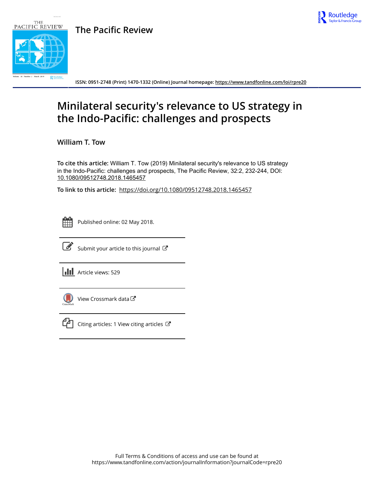

# **The Pacific Review**



**ISSN: 0951-2748 (Print) 1470-1332 (Online) Journal homepage:<https://www.tandfonline.com/loi/rpre20>**

# **Minilateral security's relevance to US strategy in the Indo-Pacific: challenges and prospects**

**William T. Tow**

**To cite this article:** William T. Tow (2019) Minilateral security's relevance to US strategy in the Indo-Pacific: challenges and prospects, The Pacific Review, 32:2, 232-244, DOI: [10.1080/09512748.2018.1465457](https://www.tandfonline.com/action/showCitFormats?doi=10.1080/09512748.2018.1465457)

**To link to this article:** <https://doi.org/10.1080/09512748.2018.1465457>

|  | - |  |
|--|---|--|
|  |   |  |
|  |   |  |
|  |   |  |

Published online: 02 May 2018.



 $\overrightarrow{S}$  [Submit your article to this journal](https://www.tandfonline.com/action/authorSubmission?journalCode=rpre20&show=instructions)  $\overrightarrow{S}$ 

**III** Article views: 529



[View Crossmark data](http://crossmark.crossref.org/dialog/?doi=10.1080/09512748.2018.1465457&domain=pdf&date_stamp=2018-05-02)



 $\mathbb{C}$  [Citing articles: 1 View citing articles](https://www.tandfonline.com/doi/citedby/10.1080/09512748.2018.1465457#tabModule)  $\mathbb{C}$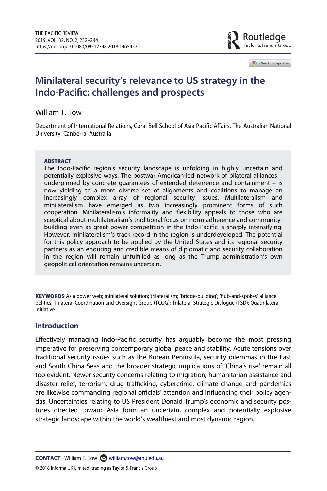Routledge Taylor & Francis Group

Check for updates

# Minilateral security's relevance to US strategy in the Indo-Pacific: challenges and prospects

## William T. Tow

Department of International Relations, Coral Bell School of Asia Pacific Affairs, The Australian National University, Canberra, Australia

#### **ARSTRACT**

The Indo-Pacific region's security landscape is unfolding in highly uncertain and potentially explosive ways. The postwar American-led network of bilateral alliances – underpinned by concrete guarantees of extended deterrence and containment – is now yielding to a more diverse set of alignments and coalitions to manage an increasingly complex array of regional security issues. Multilateralism and minilateralism have emerged as two increasingly prominent forms of such cooperation. Minilateralism's informality and flexibility appeals to those who are sceptical about multilateralism's traditional focus on norm adherence and communitybuilding even as great power competition in the Indo-Pacific is sharply intensifying. However, minilateralism's track record in the region is underdeveloped. The potential for this policy approach to be applied by the United States and its regional security partners as an enduring and credible means of diplomatic and security collaboration in the region will remain unfulfilled as long as the Trump administration's own geopolitical orientation remains uncertain.

KEYWORDS Asia power web; minilateral solution; trilateralism; 'bridge-building'; 'hub-and-spokes' alliance politics; Trilateral Coordination and Oversight Group (TCOG); Trilateral Strategic Dialogue (TSD); Quadrilateral Initiative

## Introduction

Effectively managing Indo-Pacific security has arguably become the most pressing imperative for preserving contemporary global peace and stability. Acute tensions over traditional security issues such as the Korean Peninsula, security dilemmas in the East and South China Seas and the broader strategic implications of 'China's rise' remain all too evident. Newer security concerns relating to migration, humanitarian assistance and disaster relief, terrorism, drug trafficking, cybercrime, climate change and pandemics are likewise commanding regional officials' attention and influencing their policy agendas. Uncertainties relating to US President Donald Trump's economic and security postures directed toward Asia form an uncertain, complex and potentially explosive strategic landscape within the world's wealthiest and most dynamic region.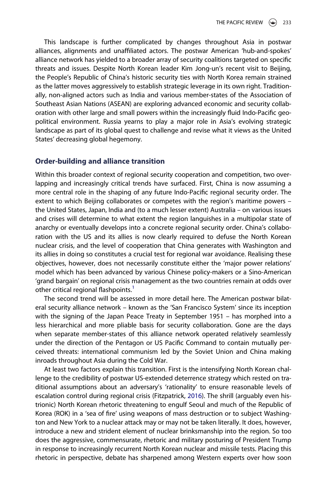This landscape is further complicated by changes throughout Asia in postwar alliances, alignments and unaffiliated actors. The postwar American 'hub-and-spokes' alliance network has yielded to a broader array of security coalitions targeted on specific threats and issues. Despite North Korean leader Kim Jong-un's recent visit to Beijing, the People's Republic of China's historic security ties with North Korea remain strained as the latter moves aggressively to establish strategic leverage in its own right. Traditionally, non-aligned actors such as India and various member-states of the Association of Southeast Asian Nations (ASEAN) are exploring advanced economic and security collaboration with other large and small powers within the increasingly fluid Indo-Pacific geopolitical environment. Russia yearns to play a major role in Asia's evolving strategic landscape as part of its global quest to challenge and revise what it views as the United States' decreasing global hegemony.

#### Order-building and alliance transition

Within this broader context of regional security cooperation and competition, two overlapping and increasingly critical trends have surfaced. First, China is now assuming a more central role in the shaping of any future Indo-Pacific regional security order. The extent to which Beijing collaborates or competes with the region's maritime powers – the United States, Japan, India and (to a much lesser extent) Australia – on various issues and crises will determine to what extent the region languishes in a multipolar state of anarchy or eventually develops into a concrete regional security order. China's collaboration with the US and its allies is now clearly required to defuse the North Korean nuclear crisis, and the level of cooperation that China generates with Washington and its allies in doing so constitutes a crucial test for regional war avoidance. Realising these objectives, however, does not necessarily constitute either the 'major power relations' model which has been advanced by various Chinese policy-makers or a Sino-American 'grand bargain' on regional crisis management as the two countries remain at odds over other critical regional flashpoints.<sup>[1](#page-11-0)</sup>

The second trend will be assessed in more detail here. The American postwar bilateral security alliance network – known as the 'San Francisco System' since its inception with the signing of the Japan Peace Treaty in September 1951 – has morphed into a less hierarchical and more pliable basis for security collaboration. Gone are the days when separate member-states of this alliance network operated relatively seamlessly under the direction of the Pentagon or US Pacific Command to contain mutually perceived threats: international communism led by the Soviet Union and China making inroads throughout Asia during the Cold War.

<span id="page-2-0"></span>At least two factors explain this transition. First is the intensifying North Korean challenge to the credibility of postwar US-extended deterrence strategy which rested on traditional assumptions about an adversary's 'rationality' to ensure reasonable levels of escalation control during regional crisis (Fitzpatrick, [2016](#page-12-0)). The shrill (arguably even histrionic) North Korean rhetoric threatening to engulf Seoul and much of the Republic of Korea (ROK) in a 'sea of fire' using weapons of mass destruction or to subject Washington and New York to a nuclear attack may or may not be taken literally. It does, however, introduce a new and strident element of nuclear brinksmanship into the region. So too does the aggressive, commensurate, rhetoric and military posturing of President Trump in response to increasingly recurrent North Korean nuclear and missile tests. Placing this rhetoric in perspective, debate has sharpened among Western experts over how soon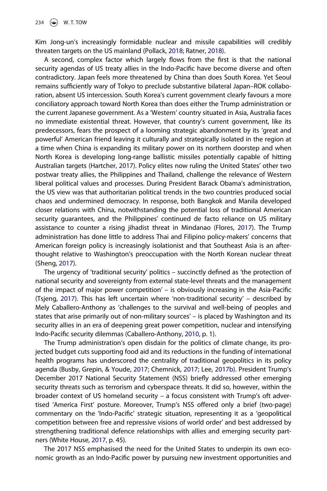<span id="page-3-4"></span>Kim Jong-un's increasingly formidable nuclear and missile capabilities will credibly threaten targets on the US mainland (Pollack, [2018](#page-12-1); Ratner, [2018\)](#page-13-0).

<span id="page-3-3"></span>A second, complex factor which largely flows from the first is that the national security agendas of US treaty allies in the Indo-Pacific have become diverse and often contradictory. Japan feels more threatened by China than does South Korea. Yet Seoul remains sufficiently wary of Tokyo to preclude substantive bilateral Japan–ROK collaboration, absent US intercession. South Korea's current government clearly favours a more conciliatory approach toward North Korea than does either the Trump administration or the current Japanese government. As a 'Western' country situated in Asia, Australia faces no immediate existential threat. However, that country's current government, like its predecessors, fears the prospect of a looming strategic abandonment by its 'great and powerful' American friend leaving it culturally and strategically isolated in the region at a time when China is expanding its military power on its northern doorstep and when North Korea is developing long-range ballistic missiles potentially capable of hitting Australian targets (Hartcher, [2017](#page-12-2)). Policy elites now ruling the United States' other two postwar treaty allies, the Philippines and Thailand, challenge the relevance of Western liberal political values and processes. During President Barack Obama's administration, the US view was that authoritarian political trends in the two countries produced social chaos and undermined democracy. In response, both Bangkok and Manila developed closer relations with China, notwithstanding the potential loss of traditional American security guarantees, and the Philippines' continued de facto reliance on US military assistance to counter a rising jihadist threat in Mindanao (Flores, [2017\)](#page-12-3). The Trump administration has done little to address Thai and Filipino policy-makers' concerns that American foreign policy is increasingly isolationist and that Southeast Asia is an afterthought relative to Washington's preoccupation with the North Korean nuclear threat (Sheng, [2017\)](#page-13-1).

<span id="page-3-6"></span><span id="page-3-5"></span><span id="page-3-2"></span>The urgency of 'traditional security' politics – succinctly defined as 'the protection of national security and sovereignty from external state-level threats and the management of the impact of major power competition' – is obviously increasing in the Asia-Pacific (Tsjeng, [2017](#page-13-2)). This has left uncertain where 'non-traditional security' – described by Mely Caballero-Anthony as 'challenges to the survival and well-being of peoples and states that arise primarily out of non-military sources' – is placed by Washington and its security allies in an era of deepening great power competition, nuclear and intensifying Indo-Pacific security dilemmas (Caballero-Anthony, [2010](#page-11-1), p. 1).

<span id="page-3-1"></span><span id="page-3-0"></span>The Trump administration's open disdain for the politics of climate change, its projected budget cuts supporting food aid and its reductions in the funding of international health programs has underscored the centrality of traditional geopolitics in its policy agenda (Busby, Grepin, & Youde, [2017](#page-11-2); Chemnick, [2017;](#page-11-3) Lee, [2017b\)](#page-12-4). President Trump's December 2017 National Security Statement (NSS) briefly addressed other emerging security threats such as terrorism and cyberspace threats. It did so, however, within the broader context of US homeland security – a focus consistent with Trump's oft advertised 'America First' posture. Moreover, Trump's NSS offered only a brief (two-page) commentary on the 'Indo-Pacific' strategic situation, representing it as a 'geopolitical competition between free and repressive visions of world order' and best addressed by strengthening traditional defence relationships with allies and emerging security partners (White House, [2017](#page-13-3), p. 45).

<span id="page-3-7"></span>The 2017 NSS emphasised the need for the United States to underpin its own economic growth as an Indo-Pacific power by pursuing new investment opportunities and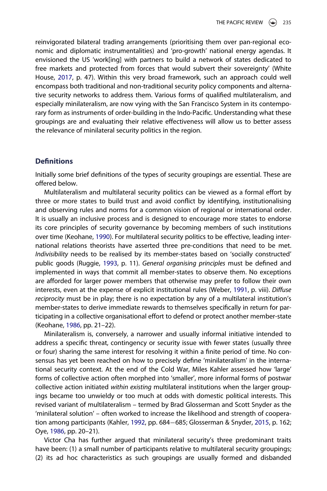reinvigorated bilateral trading arrangements (prioritising them over pan-regional economic and diplomatic instrumentalities) and 'pro-growth' national energy agendas. It envisioned the US 'work[ing] with partners to build a network of states dedicated to free markets and protected from forces that would subvert their sovereignty' (White House, [2017,](#page-13-3) p. 47). Within this very broad framework, such an approach could well encompass both traditional and non-traditional security policy components and alternative security networks to address them. Various forms of qualified multilateralism, and especially minilateralism, are now vying with the San Francisco System in its contemporary form as instruments of order-building in the Indo-Pacific. Understanding what these groupings are and evaluating their relative effectiveness will allow us to better assess the relevance of minilateral security politics in the region.

# **Definitions**

Initially some brief definitions of the types of security groupings are essential. These are offered below.

<span id="page-4-4"></span><span id="page-4-2"></span>Multilateralism and multilateral security politics can be viewed as a formal effort by three or more states to build trust and avoid conflict by identifying, institutionalising and observing rules and norms for a common vision of regional or international order. It is usually an inclusive process and is designed to encourage more states to endorse its core principles of security governance by becoming members of such institutions over time (Keohane, [1990\)](#page-12-5). For multilateral security politics to be effective, leading international relations theorists have asserted three pre-conditions that need to be met. Indivisibility needs to be realised by its member-states based on 'socially constructed' public goods (Ruggie, [1993,](#page-13-4) p. 11). General organising principles must be defined and implemented in ways that commit all member-states to observe them. No exceptions are afforded for larger power members that otherwise may prefer to follow their own interests, even at the expense of explicit institutional rules (Weber, [1991](#page-13-5), p. viii). Diffuse reciprocity must be in play; there is no expectation by any of a multilateral institution's member-states to derive immediate rewards to themselves specifically in return for participating in a collective organisational effort to defend or protect another member-state (Keohane, [1986,](#page-12-6) pp. 21–22).

<span id="page-4-5"></span><span id="page-4-1"></span>Minilateralism is, conversely, a narrower and usually informal initiative intended to address a specific threat, contingency or security issue with fewer states (usually three or four) sharing the same interest for resolving it within a finite period of time. No consensus has yet been reached on how to precisely define 'minilateralism' in the international security context. At the end of the Cold War, Miles Kahler assessed how 'large' forms of collective action often morphed into 'smaller', more informal forms of postwar collective action initiated within existing multilateral institutions when the larger groupings became too unwieldy or too much at odds with domestic political interests. This revised variant of multilateralism – termed by Brad Glosserman and Scott Snyder as the 'minilateral solution' – often worked to increase the likelihood and strength of coopera-tion among participants (Kahler, [1992](#page-12-7), pp. 684–685; Glosserman & Snyder, [2015](#page-12-8), p. 162; Oye, [1986,](#page-12-9) pp. 20–21).

<span id="page-4-3"></span><span id="page-4-0"></span>Victor Cha has further argued that minilateral security's three predominant traits have been: (1) a small number of participants relative to multilateral security groupings; (2) its ad hoc characteristics as such groupings are usually formed and disbanded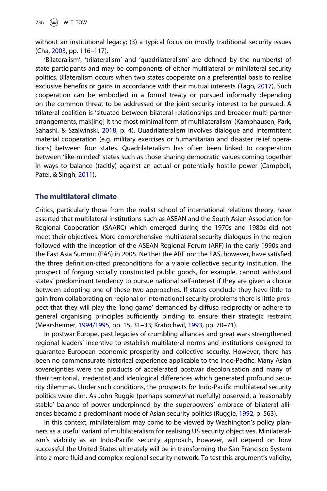236  $\bigodot$  W.T. TOW

<span id="page-5-1"></span>without an institutional legacy; (3) a typical focus on mostly traditional security issues (Cha, [2003](#page-12-10), pp. 116–117).

<span id="page-5-5"></span>'Bilateralism', 'trilateralism' and 'quadrilateralism' are defined by the number(s) of state participants and may be components of either multilateral or minilateral security politics. Bilateralism occurs when two states cooperate on a preferential basis to realise exclusive benefits or gains in accordance with their mutual interests (Tago, [2017\)](#page-13-6). Such cooperation can be embodied in a formal treaty or pursued informally depending on the common threat to be addressed or the joint security interest to be pursued. A trilateral coalition is 'situated between bilateral relationships and broader multi-partner arrangements, mak[ing] it the most minimal form of multilateralism' (Kamphausen, Park, Sahashi, & Szalwinski, [2018](#page-12-11), p. 4). Quadrilateralism involves dialogue and intermittent material cooperation (e.g. military exercises or humanitarian and disaster relief operations) between four states. Quadrilateralism has often been linked to cooperation between 'like-minded' states such as those sharing democratic values coming together in ways to balance (tacitly) against an actual or potentially hostile power (Campbell, Patel, & Singh, [2011](#page-11-4)).

#### <span id="page-5-2"></span><span id="page-5-0"></span>The multilateral climate

Critics, particularly those from the realist school of international relations theory, have asserted that multilateral institutions such as ASEAN and the South Asian Association for Regional Cooperation (SAARC) which emerged during the 1970s and 1980s did not meet their objectives. More comprehensive multilateral security dialogues in the region followed with the inception of the ASEAN Regional Forum (ARF) in the early 1990s and the East Asia Summit (EAS) in 2005. Neither the ARF nor the EAS, however, have satisfied the three definition-cited preconditions for a viable collective security institution. The prospect of forging socially constructed public goods, for example, cannot withstand states' predominant tendency to pursue national self-interest if they are given a choice between adopting one of these two approaches. If states conclude they have little to gain from collaborating on regional or international security problems there is little prospect that they will play the 'long game' demanded by diffuse reciprocity or adhere to general organising principles sufficiently binding to ensure their strategic restraint (Mearsheimer, [1994/1995,](#page-12-12) pp. 15, 31–33; Kratochwil, [1993,](#page-12-13) pp. 70–71).

<span id="page-5-3"></span>In postwar Europe, past legacies of crumbling alliances and great wars strengthened regional leaders' incentive to establish multilateral norms and institutions designed to guarantee European economic prosperity and collective security. However, there has been no commensurate historical experience applicable to the Indo-Pacific. Many Asian sovereignties were the products of accelerated postwar decolonisation and many of their territorial, irredentist and ideological differences which generated profound security dilemmas. Under such conditions, the prospects for Indo-Pacific multilateral security politics were dim. As John Ruggie (perhaps somewhat ruefully) observed, a 'reasonably stable' balance of power underpinned by the superpowers' embrace of bilateral alliances became a predominant mode of Asian security politics (Ruggie, [1992,](#page-13-7) p. 563).

<span id="page-5-4"></span>In this context, minilateralism may come to be viewed by Washington's policy planners as a useful variant of multilateralism for realising US security objectives. Minilateralism's viability as an Indo-Pacific security approach, however, will depend on how successful the United States ultimately will be in transforming the San Francisco System into a more fluid and complex regional security network. To test this argument's validity,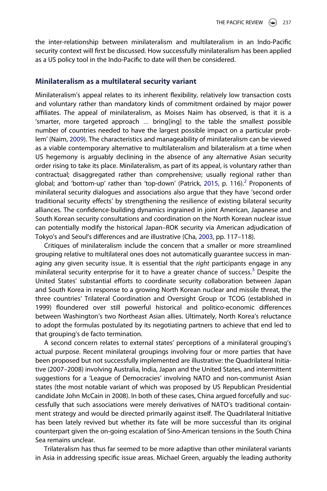the inter-relationship between minilateralism and multilateralism in an Indo-Pacific security context will first be discussed. How successfully minilateralism has been applied as a US policy tool in the Indo-Pacific to date will then be considered.

#### Minilateralism as a multilateral security variant

<span id="page-6-0"></span>Minilateralism's appeal relates to its inherent flexibility, relatively low transaction costs and voluntary rather than mandatory kinds of commitment ordained by major power affiliates. The appeal of minilateralism, as Moises Naim has observed, is that it is a 'smarter, more targeted approach … bring[ing] to the table the smallest possible number of countries needed to have the largest possible impact on a particular problem' (Naim, [2009](#page-12-14)). The characteristics and manageability of minilateralism can be viewed as a viable contemporary alternative to multilateralism and bilateralism at a time when US hegemony is arguably declining in the absence of any alternative Asian security order rising to take its place. Minilateralism, as part of its appeal, is voluntary rather than contractual; disaggregated rather than comprehensive; usually regional rather than global; and 'bottom-up' rather than 'top-down' (Patrick, [2015](#page-12-15), p. 116).<sup>2</sup> Proponents of minilateral security dialogues and associations also argue that they have 'second order traditional security effects' by strengthening the resilience of existing bilateral security alliances. The confidence-building dynamics ingrained in joint American, Japanese and South Korean security consultations and coordination on the North Korean nuclear issue can potentially modify the historical Japan–ROK security via American adjudication of Tokyo's and Seoul's differences and are illustrative (Cha, [2003](#page-12-10), pp. 117–118).

<span id="page-6-1"></span>Critiques of minilateralism include the concern that a smaller or more streamlined grouping relative to multilateral ones does not automatically guarantee success in managing any given security issue. It is essential that the right participants engage in any minilateral security enterprise for it to have a greater chance of success.<sup>[3](#page-11-6)</sup> Despite the United States' substantial efforts to coordinate security collaboration between Japan and South Korea in response to a growing North Korean nuclear and missile threat, the three countries' Trilateral Coordination and Oversight Group or TCOG (established in 1999) floundered over still powerful historical and politico-economic differences between Washington's two Northeast Asian allies. Ultimately, North Korea's reluctance to adopt the formulas postulated by its negotiating partners to achieve that end led to that grouping's de facto termination.

A second concern relates to external states' perceptions of a minilateral grouping's actual purpose. Recent minilateral groupings involving four or more parties that have been proposed but not successfully implemented are illustrative: the Quadrilateral Initiative (2007–2008) involving Australia, India, Japan and the United States, and intermittent suggestions for a 'League of Democracies' involving NATO and non-communist Asian states (the most notable variant of which was proposed by US Republican Presidential candidate John McCain in 2008). In both of these cases, China argued forcefully and successfully that such associations were merely derivatives of NATO's traditional containment strategy and would be directed primarily against itself. The Quadrilateral Initiative has been lately revived but whether its fate will be more successful than its original counterpart given the on-going escalation of Sino-American tensions in the South China Sea remains unclear.

Trilateralism has thus far seemed to be more adaptive than other minilateral variants in Asia in addressing specific issue areas. Michael Green, arguably the leading authority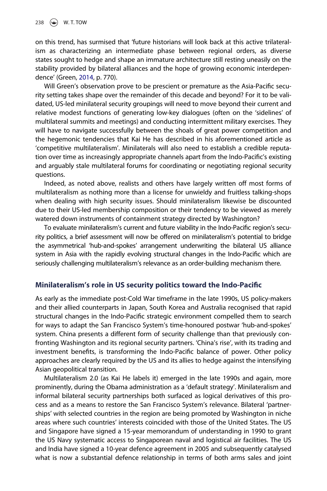on this trend, has surmised that 'future historians will look back at this active trilateralism as characterizing an intermediate phase between regional orders, as diverse states sought to hedge and shape an immature architecture still resting uneasily on the stability provided by bilateral alliances and the hope of growing economic interdependence' (Green, [2014](#page-12-16), p. 770).

<span id="page-7-0"></span>Will Green's observation prove to be prescient or premature as the Asia-Pacific security setting takes shape over the remainder of this decade and beyond? For it to be validated, US-led minilateral security groupings will need to move beyond their current and relative modest functions of generating low-key dialogues (often on the 'sidelines' of multilateral summits and meetings) and conducting intermittent military exercises. They will have to navigate successfully between the shoals of great power competition and the hegemonic tendencies that Kai He has described in his aforementioned article as 'competitive multilateralism'. Minilaterals will also need to establish a credible reputation over time as increasingly appropriate channels apart from the Indo-Pacific's existing and arguably stale multilateral forums for coordinating or negotiating regional security questions.

Indeed, as noted above, realists and others have largely written off most forms of multilateralism as nothing more than a license for unwieldy and fruitless talking-shops when dealing with high security issues. Should minilateralism likewise be discounted due to their US-led membership composition or their tendency to be viewed as merely watered down instruments of containment strategy directed by Washington?

To evaluate minilateralism's current and future viability in the Indo-Pacific region's security politics, a brief assessment will now be offered on minilateralism's potential to bridge the asymmetrical 'hub-and-spokes' arrangement underwriting the bilateral US alliance system in Asia with the rapidly evolving structural changes in the Indo-Pacific which are seriously challenging multilateralism's relevance as an order-building mechanism there.

#### Minilateralism's role in US security politics toward the Indo-Pacific

As early as the immediate post-Cold War timeframe in the late 1990s, US policy-makers and their allied counterparts in Japan, South Korea and Australia recognised that rapid structural changes in the Indo-Pacific strategic environment compelled them to search for ways to adapt the San Francisco System's time-honoured postwar 'hub-and-spokes' system. China presents a different form of security challenge than that previously confronting Washington and its regional security partners. 'China's rise', with its trading and investment benefits, is transforming the Indo-Pacific balance of power. Other policy approaches are clearly required by the US and its allies to hedge against the intensifying Asian geopolitical transition.

Multilateralism 2.0 (as Kai He labels it) emerged in the late 1990s and again, more prominently, during the Obama administration as a 'default strategy'. Minilateralism and informal bilateral security partnerships both surfaced as logical derivatives of this process and as a means to restore the San Francisco System's relevance. Bilateral 'partnerships' with selected countries in the region are being promoted by Washington in niche areas where such countries' interests coincided with those of the United States. The US and Singapore have signed a 15-year memorandum of understanding in 1990 to grant the US Navy systematic access to Singaporean naval and logistical air facilities. The US and India have signed a 10-year defence agreement in 2005 and subsequently catalysed what is now a substantial defence relationship in terms of both arms sales and joint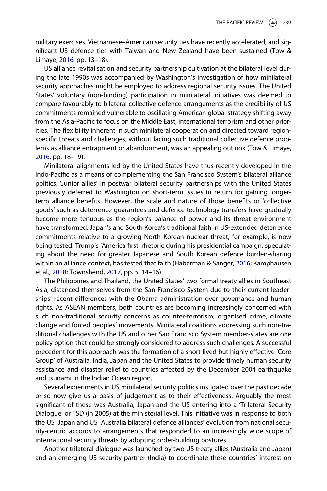military exercises. Vietnamese–American security ties have recently accelerated, and significant US defence ties with Taiwan and New Zealand have been sustained (Tow & Limaye, [2016](#page-13-8), pp. 13–18).

US alliance revitalisation and security partnership cultivation at the bilateral level during the late 1990s was accompanied by Washington's investigation of how minilateral security approaches might be employed to address regional security issues. The United States' voluntary (non-binding) participation in minilateral initiatives was deemed to compare favourably to bilateral collective defence arrangements as the credibility of US commitments remained vulnerable to oscillating American global strategy shifting away from the Asia-Pacific to focus on the Middle East, international terrorism and other priorities. The flexibility inherent in such minilateral cooperation and directed toward regionspecific threats and challenges, without facing such traditional collective defence problems as alliance entrapment or abandonment, was an appealing outlook (Tow & Limaye, [2016](#page-13-8), pp. 18–19).

<span id="page-8-1"></span>Minilateral alignments led by the United States have thus recently developed in the Indo-Pacific as a means of complementing the San Francisco System's bilateral alliance politics. 'Junior allies' in postwar bilateral security partnerships with the United States previously deferred to Washington on short-term issues in return for gaining longerterm alliance benefits. However, the scale and nature of those benefits or 'collective goods' such as deterrence guarantees and defence technology transfers have gradually become more tenuous as the region's balance of power and its threat environment have transformed. Japan's and South Korea's traditional faith in US-extended deterrence commitments relative to a growing North Korean nuclear threat, for example, is now being tested. Trump's 'America first' rhetoric during his presidential campaign, speculating about the need for greater Japanese and South Korean defence burden-sharing within an alliance context, has tested that faith (Haberman & Sanger, [2016;](#page-12-17) Kamphausen et al., [2018;](#page-12-11) Townshend, [2017,](#page-13-9) pp. 5, 14–16).

<span id="page-8-2"></span><span id="page-8-0"></span>The Philippines and Thailand, the United States' two formal treaty allies in Southeast Asia, distanced themselves from the San Francisco System due to their current leaderships' recent differences with the Obama administration over governance and human rights. As ASEAN members, both countries are becoming increasingly concerned with such non-traditional security concerns as counter-terrorism, organised crime, climate change and forced peoples' movements. Minilateral coalitions addressing such non-traditional challenges with the US and other San Francisco System member-states are one policy option that could be strongly considered to address such challenges. A successful precedent for this approach was the formation of a short-lived but highly effective 'Core Group' of Australia, India, Japan and the United States to provide timely human security assistance and disaster relief to countries affected by the December 2004 earthquake and tsunami in the Indian Ocean region.

Several experiments in US minilateral security politics instigated over the past decade or so now give us a basis of judgement as to their effectiveness. Arguably the most significant of these was Australia, Japan and the US entering into a 'Trilateral Security Dialogue' or TSD (in 2005) at the ministerial level. This initiative was in response to both the US–Japan and US–Australia bilateral defence alliances' evolution from national security-centric accords to arrangements that responded to an increasingly wide scope of international security threats by adopting order-building postures.

Another trilateral dialogue was launched by two US treaty allies (Australia and Japan) and an emerging US security partner (India) to coordinate these countries' interest on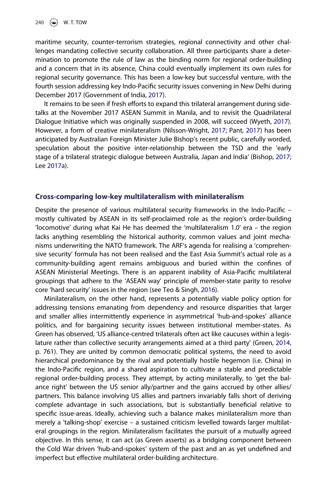maritime security, counter-terrorism strategies, regional connectivity and other challenges mandating collective security collaboration. All three participants share a determination to promote the rule of law as the binding norm for regional order-building and a concern that in its absence, China could eventually implement its own rules for regional security governance. This has been a low-key but successful venture, with the fourth session addressing key Indo-Pacific security issues convening in New Delhi during December 2017 (Government of India, [2017](#page-12-18)).

<span id="page-9-4"></span><span id="page-9-3"></span><span id="page-9-1"></span>It remains to be seen if fresh efforts to expand this trilateral arrangement during sidetalks at the November 2017 ASEAN Summit in Manila, and to revisit the Quadrilateral Dialogue Initiative which was originally suspended in 2008, will succeed (Wyeth, [2017\)](#page-13-10). However, a form of creative minilateralism (Nilsson-Wright, [2017](#page-12-19); Pant, [2017](#page-12-20)) has been anticipated by Australian Foreign Minister Julie Bishop's recent public, carefully worded, speculation about the positive inter-relationship between the TSD and the 'early stage of a trilateral strategic dialogue between Australia, Japan and India' (Bishop, [2017;](#page-11-7) Lee [2017a\)](#page-12-21).

#### <span id="page-9-2"></span><span id="page-9-0"></span>Cross-comparing low-key multilateralism with minilateralism

Despite the presence of various multilateral security frameworks in the Indo-Pacific – mostly cultivated by ASEAN in its self-proclaimed role as the region's order-building 'locomotive' during what Kai He has deemed the 'multilateralism 1.0' era – the region lacks anything resembling the historical authority, common values and joint mechanisms underwriting the NATO framework. The ARF's agenda for realising a 'comprehensive security' formula has not been realised and the East Asia Summit's actual role as a community-building agent remains ambiguous and buried within the confines of ASEAN Ministerial Meetings. There is an apparent inability of Asia-Pacific multilateral groupings that adhere to the 'ASEAN way' principle of member-state parity to resolve core 'hard security' issues in the region (see Teo & Singh, [2016](#page-13-11)).

Minilateralism, on the other hand, represents a potentially viable policy option for addressing tensions emanating from dependency and resource disparities that larger and smaller allies intermittently experience in asymmetrical 'hub-and-spokes' alliance politics, and for bargaining security issues between institutional member-states. As Green has observed, 'US alliance-centred trilaterals often act like caucuses within a legislature rather than collective security arrangements aimed at a third party' (Green, [2014,](#page-12-16) p. 761). They are united by common democratic political systems, the need to avoid hierarchical predominance by the rival and potentially hostile hegemon (i.e. China) in the Indo-Pacific region, and a shared aspiration to cultivate a stable and predictable regional order-building process. They attempt, by acting minilaterally, to 'get the balance right' between the US senior ally/partner and the gains accrued by other allies/ partners. This balance involving US allies and partners invariably falls short of deriving complete advantage in such associations, but is substantially beneficial relative to specific issue-areas. Ideally, achieving such a balance makes minilateralism more than merely a 'talking-shop' exercise – a sustained criticism levelled towards larger multilateral groupings in the region. Minilateralism facilitates the pursuit of a mutually agreed objective. In this sense, it can act (as Green asserts) as a bridging component between the Cold War driven 'hub-and-spokes' system of the past and an as yet undefined and imperfect but effective multilateral order-building architecture.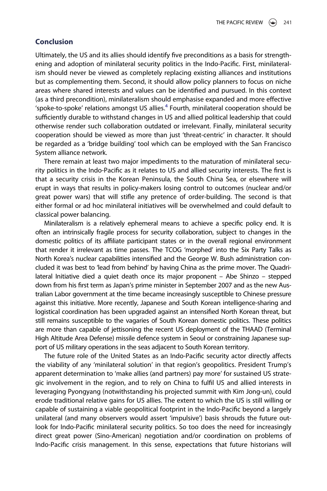# Conclusion

Ultimately, the US and its allies should identify five preconditions as a basis for strengthening and adoption of minilateral security politics in the Indo-Pacific. First, minilateralism should never be viewed as completely replacing existing alliances and institutions but as complementing them. Second, it should allow policy planners to focus on niche areas where shared interests and values can be identified and pursued. In this context (as a third precondition), minilateralism should emphasise expanded and more effective 'spoke-to-spoke' relations amongst US allies.<sup>[4](#page-11-8)</sup> Fourth, minilateral cooperation should be sufficiently durable to withstand changes in US and allied political leadership that could otherwise render such collaboration outdated or irrelevant. Finally, minilateral security cooperation should be viewed as more than just 'threat-centric' in character. It should be regarded as a 'bridge building' tool which can be employed with the San Francisco System alliance network.

There remain at least two major impediments to the maturation of minilateral security politics in the Indo-Pacific as it relates to US and allied security interests. The first is that a security crisis in the Korean Peninsula, the South China Sea, or elsewhere will erupt in ways that results in policy-makers losing control to outcomes (nuclear and/or great power wars) that will stifle any pretence of order-building. The second is that either formal or ad hoc minilateral initiatives will be overwhelmed and could default to classical power balancing.

Minilateralism is a relatively ephemeral means to achieve a specific policy end. It is often an intrinsically fragile process for security collaboration, subject to changes in the domestic politics of its affiliate participant states or in the overall regional environment that render it irrelevant as time passes. The TCOG 'morphed' into the Six Party Talks as North Korea's nuclear capabilities intensified and the George W. Bush administration concluded it was best to 'lead from behind' by having China as the prime mover. The Quadrilateral Initiative died a quiet death once its major proponent – Abe Shinzo – stepped down from his first term as Japan's prime minister in September 2007 and as the new Australian Labor government at the time became increasingly susceptible to Chinese pressure against this initiative. More recently, Japanese and South Korean intelligence-sharing and logistical coordination has been upgraded against an intensified North Korean threat, but still remains susceptible to the vagaries of South Korean domestic politics. These politics are more than capable of jettisoning the recent US deployment of the THAAD (Terminal High Altitude Area Defense) missile defence system in Seoul or constraining Japanese support of US military operations in the seas adjacent to South Korean territory.

The future role of the United States as an Indo-Pacific security actor directly affects the viability of any 'minilateral solution' in that region's geopolitics. President Trump's apparent determination to 'make allies (and partners) pay more' for sustained US strategic involvement in the region, and to rely on China to fulfil US and allied interests in leveraging Pyongyang (notwithstanding his projected summit with Kim Jong-un), could erode traditional relative gains for US allies. The extent to which the US is still willing or capable of sustaining a viable geopolitical footprint in the Indo-Pacific beyond a largely unilateral (and many observers would assert 'impulsive') basis shrouds the future outlook for Indo-Pacific minilateral security politics. So too does the need for increasingly direct great power (Sino-American) negotiation and/or coordination on problems of Indo-Pacific crisis management. In this sense, expectations that future historians will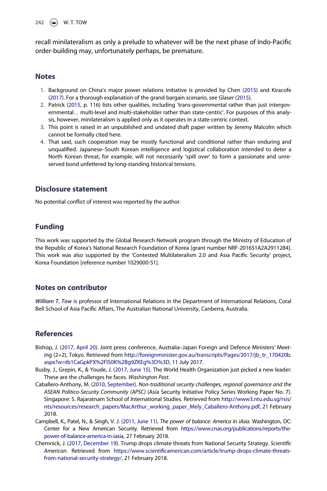242  $\leftarrow$  W. T. TOW

recall minilateralism as only a prelude to whatever will be the next phase of Indo-Pacific order-building may, unfortunately perhaps, be premature.

#### <span id="page-11-9"></span><span id="page-11-0"></span>**Notes**

- 1. Background on China's major power relations initiative is provided by Chen ([2015\)](#page-12-22) and Kiracofe ([2017\)](#page-12-23). For a thorough explanation of the grand bargain scenario, see Glaser ([2015\)](#page-12-24).
- <span id="page-11-5"></span>2. Patrick ([2015,](#page-12-15) p. 116) lists other qualities, including 'trans-governmental rather than just intergovernmental… multi-level and multi-stakeholder rather than state-centric'. For purposes of this analysis, however, minilateralism is applied only as it operates in a state-centric context.
- <span id="page-11-6"></span>3. This point is raised in an unpublished and undated draft paper written by Jeremy Malcolm which cannot be formally cited here.
- <span id="page-11-8"></span>4. That said, such cooperation may be mostly functional and conditional rather than enduring and unqualified. Japanese–South Korean intelligence and logistical collaboration intended to deter a North Korean threat, for example, will not necessarily 'spill over' to form a passionate and unreserved bond unfettered by long-standing historical tensions.

# Disclosure statement

No potential conflict of interest was reported by the author.

# Funding

This work was supported by the Global Research Network program through the Ministry of Education of the Republic of Korea's National Research Foundation of Korea [grant number NRF-2016S1A2A2911284]. This work was also supported by the 'Contested Multilateralism 2.0 and Asia Pacific Security' project, Korea Foundation [reference number 1029000-51].

## Notes on contributor

William T. Tow is professor of International Relations in the Department of International Relations, Coral Bell School of Asia Pacific Affairs, The Australian National University, Canberra, Australia.

# References

- <span id="page-11-7"></span>Bishop, J. [\(2017, April 20](#page-9-0)). Joint press conference, Australia–Japan Foreign and Defence Ministers' Meeting (2+2), Tokyo. Retrieved from [http://foreignminister.gov.au/transcripts/Pages/2017/jb\\_tr\\_170420b.](http://foreignminister.gov.au/transcripts/Pages/2017/jb_tr_170420b.aspx?w=tb1CaGpkPX%2FlS0K%2Bg9ZKEg%3D%3D) [aspx?w=tb1CaGpkPX%2FlS0K](http://foreignminister.gov.au/transcripts/Pages/2017/jb_tr_170420b.aspx?w=tb1CaGpkPX%2FlS0K%2Bg9ZKEg%3D%3D)%[2Bg9ZKEg](http://foreignminister.gov.au/transcripts/Pages/2017/jb_tr_170420b.aspx?w=tb1CaGpkPX%2FlS0K%2Bg9ZKEg%3D%3D)%[3D%3D](http://foreignminister.gov.au/transcripts/Pages/2017/jb_tr_170420b.aspx?w=tb1CaGpkPX%2FlS0K%2Bg9ZKEg%3D%3D), 11 July 2017.
- <span id="page-11-2"></span>Busby, J., Grepin, K., & Youde, J. ([2017, June 15](#page-3-0)). The World Health Organization just picked a new leader: These are the challenges he faces. Washington Post.
- <span id="page-11-1"></span>Caballero-Anthony, M. ([2010, September\)](#page-3-1). Non-traditional security challenges, regional governance and the ASEAN Politico-Security Community (APSC) (Asia Security Initiative Policy Series Working Paper No. 7). Singapore: S. Rajaratnam School of International Studies. Retrieved from [http://www3.ntu.edu.sg/rsis/](http://www3.ntu.edu.sg/rsis/nts/resources/research_papers/MacArthur_working_paper_Mely_Caballero-Anthony.pdf) [nts/resources/research\\_papers/MacArthur\\_working\\_paper\\_Mely\\_Caballero-Anthony.pdf,](http://www3.ntu.edu.sg/rsis/nts/resources/research_papers/MacArthur_working_paper_Mely_Caballero-Anthony.pdf) 21 February 2018.
- <span id="page-11-4"></span>Campbell, K., Patel, N., & Singh, V. J. [\(2011, June 11\)](#page-5-0). The power of balance: America in iAsia. Washington, DC: Center for a New American Security. Retrieved from [https://www.cnas.org/publications/reports/the](https://www.cnas.org/publications/reports/the-power-of-balance-america-in-iasia)[power-of-balance-america-in-iasia](https://www.cnas.org/publications/reports/the-power-of-balance-america-in-iasia), 27 February 2018.
- <span id="page-11-3"></span>Chemnick, J. [\(2017, December 19](#page-3-0)). Trump drops climate threats from National Security Strategy. Scientific American. Retrieved from https://www.scientifi[camerican.com/article/trump-drops-climate-threats](https://www.scientificamerican.com/article/trump-drops-climate-threats-from-national-security-strategy/)[from-national-security-strategy/,](https://www.scientificamerican.com/article/trump-drops-climate-threats-from-national-security-strategy/) 21 February 2018.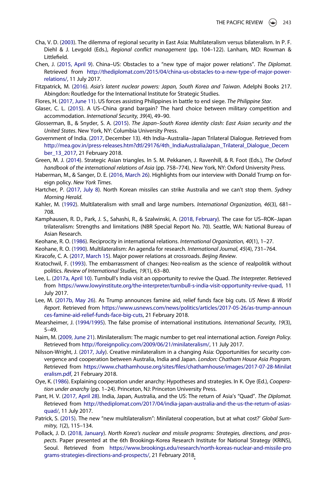- <span id="page-12-10"></span>Cha, V. D. [\(2003](#page-5-1)). The dilemma of regional security in East Asia: Multilateralism versus bilateralism. In P. F. Diehl & J. Levgold (Eds.), Regional conflict management (pp. 104–122). Lanham, MD: Rowman & Littlefield.
- <span id="page-12-22"></span>Chen, J. ([2015, April 9](#page-11-0)). China–US: Obstacles to a "new type of major power relations". The Diplomat. Retrieved from [http://thediplomat.com/2015/04/china-us-obstacles-to-a-new-type-of-major-power](http://thediplomat.com/2015/04/china-us-obstacles-to-a-new-type-of-major-power-relations/)[relations/,](http://thediplomat.com/2015/04/china-us-obstacles-to-a-new-type-of-major-power-relations/) 11 July 2017.
- <span id="page-12-0"></span>Fitzpatrick, M. ([2016\)](#page-2-0). Asia's latent nuclear powers: Japan, South Korea and Taiwan. Adelphi Books 217. Abingdon: Routledge for the International Institute for Strategic Studies.
- <span id="page-12-3"></span>Flores, H. ([2017, June 11](#page-3-2)). US forces assisting Philippines in battle to end siege. The Philippine Star.
- <span id="page-12-24"></span>Glaser, C. L. [\(2015](#page-11-9)). A US–China grand bargain? The hard choice between military competition and accommodation. International Security, 39(4), 49–90.
- <span id="page-12-8"></span>Glosserman, B., & Snyder, S. A. ([2015\)](#page-4-0). The Japan–South Korea identity clash: East Asian security and the United States. New York, NY: Columbia University Press.
- <span id="page-12-18"></span>Government of India. ([2017,](#page-9-1) December 13). 4th India–Australia–Japan Trilateral Dialogue. Retrieved from [http://mea.gov.in/press-releases.htm?dtl/29176/4th\\_IndiaAustraliaJapan\\_Trilateral\\_Dialogue\\_Decem](http://mea.gov.in/press-releases.htm?dtl/29176/4th_IndiaAustraliaJapan_Trilateral_Dialogue_December_13_2017) [ber\\_13\\_2017](http://mea.gov.in/press-releases.htm?dtl/29176/4th_IndiaAustraliaJapan_Trilateral_Dialogue_December_13_2017), 21 February 2018.
- <span id="page-12-16"></span>Green, M. J. ([2014\)](#page-7-0). Strategic Asian triangles. In S. M. Pekkanen, J. Ravenhill, & R. Foot (Eds.), The Oxford handbook of the international relations of Asia (pp. 758–774). New York, NY: Oxford University Press.
- <span id="page-12-17"></span>Haberman, M., & Sanger, D. E. ([2016, March 26](#page-8-0)). Highlights from our interview with Donald Trump on foreign policy. New York Times.
- <span id="page-12-2"></span>Hartcher, P. [\(2017, July 8\)](#page-3-3). North Korean missiles can strike Australia and we can't stop them. Sydney Morning Herald.
- <span id="page-12-7"></span>Kahler, M. [\(1992](#page-4-0)). Multilateralism with small and large numbers. International Organization, 46(3), 681-708.
- <span id="page-12-11"></span>Kamphausen, R. D., Park, J. S., Sahashi, R., & Szalwinski, A. ([2018, February](#page-5-2)). The case for US–ROK–Japan trilateralism: Strengths and limitations (NBR Special Report No. 70). Seattle, WA: National Bureau of Asian Research.
- <span id="page-12-6"></span>Keohane, R. O. [\(1986\)](#page-4-1). Reciprocity in international relations. International Organization, 40(1), 1-27.
- <span id="page-12-5"></span>Keohane, R. O. [\(1990\)](#page-4-2). Multilateralism: An agenda for research. International Journal, 45(4), 731–764.
- <span id="page-12-23"></span>Kiracofe, C. A. ([2017, March 15\)](#page-11-9). Major power relations at crossroads. Beijing Review.
- <span id="page-12-13"></span>Kratochwil, F. [\(1993\)](#page-5-3). The embarrassment of changes: Neo-realism as the science of realpolitik without politics. Review of International Studies, 19(1), 63–80.
- <span id="page-12-21"></span>Lee, L. ([2017a, April 10\)](#page-9-2). Turnbull's India visit an opportunity to revive the Quad. The Interpreter. Retrieved from <https://www.lowyinstitute.org/the-interpreter/turnbull-s-india-visit-opportunity-revive-quad>, 11 July 2017.
- <span id="page-12-4"></span>Lee, M. ([2017b, May 26\)](#page-3-0). As Trump announces famine aid, relief funds face big cuts. US News & World Report. Retrieved from [https://www.usnews.com/news/politics/articles/2017-05-26/as-trump-announ](https://www.usnews.com/news/politics/articles/2017-05-26/as-trump-announces-famine-aid-relief-funds-face-big-cuts) [ces-famine-aid-relief-funds-face-big-cuts](https://www.usnews.com/news/politics/articles/2017-05-26/as-trump-announces-famine-aid-relief-funds-face-big-cuts), 21 February 2018.
- <span id="page-12-12"></span>Mearsheimer, J. ([1994/1995\)](#page-5-3). The false promise of international institutions. International Security, 19(3), 5–49.
- <span id="page-12-14"></span>Naim, M. ([2009, June 21\)](#page-6-0). Minilateralism: The magic number to get real international action. Foreign Policy. Retrieved from <http://foreignpolicy.com/2009/06/21/minilateralism/>, 11 July 2017.
- <span id="page-12-19"></span>Nilsson-Wright, J. [\(2017, July](#page-9-3)). Creative minilateralism in a changing Asia: Opportunities for security convergence and cooperation between Australia, India and Japan. London: Chatham House Asia Program. Retrieved from https://www.chathamhouse.org/sites/fi[les/chathamhouse/images/2017-07-28-Minilat](https://www.chathamhouse.org/sites/files/chathamhouse/images/2017-07-28-Minilateralism.pdf) [eralism.pdf](https://www.chathamhouse.org/sites/files/chathamhouse/images/2017-07-28-Minilateralism.pdf), 21 February 2018.
- <span id="page-12-9"></span>Oye, K. [\(1986\)](#page-4-3). Explaining cooperation under anarchy: Hypotheses and strategies. In K. Oye (Ed.), Cooperation under anarchy (pp. 1–24). Princeton, NJ: Princeton University Press.
- <span id="page-12-20"></span>Pant, H. V. [\(2017, April 28](#page-9-3)). India, Japan, Australia, and the US: The return of Asia's "Quad". The Diplomat. Retrieved from [http://thediplomat.com/2017/04/india-japan-australia-and-the-us-the-return-of-asias](http://thediplomat.com/2017/04/india-japan-australia-and-the-us-the-return-of-asias-quad/)[quad/](http://thediplomat.com/2017/04/india-japan-australia-and-the-us-the-return-of-asias-quad/), 11 July 2017.
- <span id="page-12-15"></span>Patrick, S. ([2015](#page-6-1)). The new "new multilateralism": Minilateral cooperation, but at what cost?' Global Summitry, 1(2), 115–134.
- <span id="page-12-1"></span>Pollack, J. D. [\(2018, January\)](#page-3-4). North Korea's nuclear and missile programs: Strategies, directions, and prospects. Paper presented at the 6th Brookings-Korea Research Institute for National Strategy (KRINS), Seoul. Retrieved from [https://www.brookings.edu/research/north-koreas-nuclear-and-missile-pro](https://www.brookings.edu/research/north-koreas-nuclear-and-missile-programs-strategies-directions-and-prospects/) [grams-strategies-directions-and-prospects/,](https://www.brookings.edu/research/north-koreas-nuclear-and-missile-programs-strategies-directions-and-prospects/) 21 February 2018.